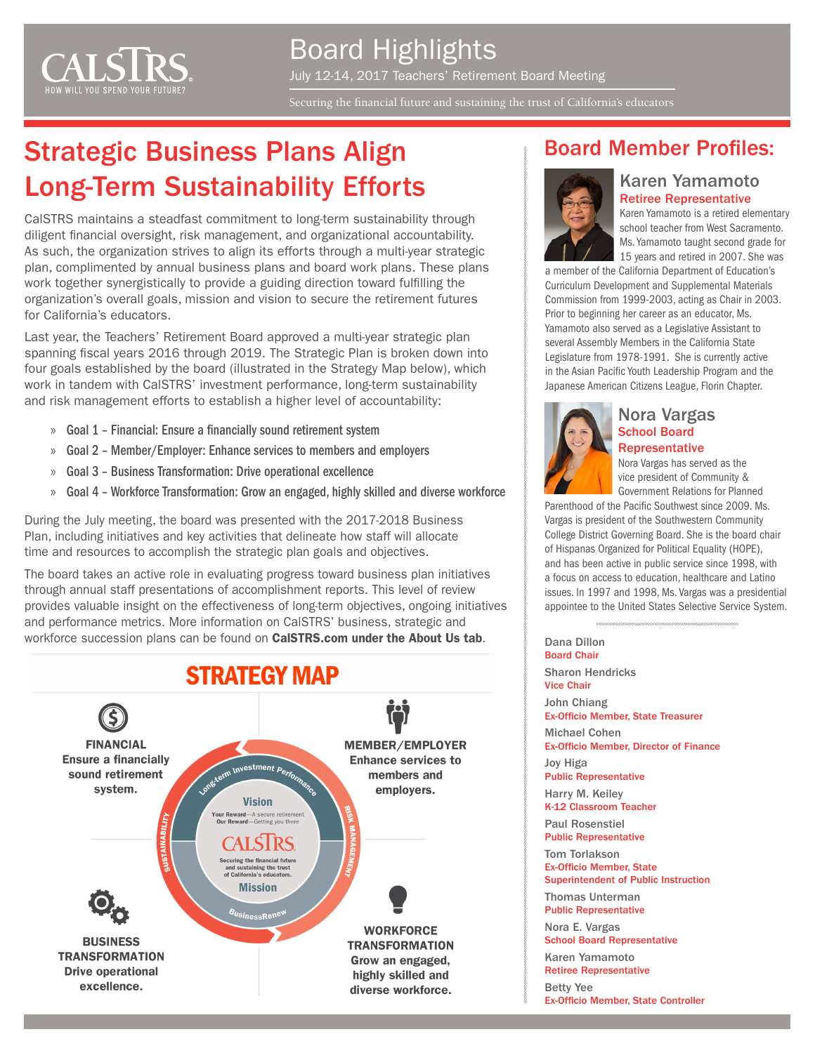

Board Highlights July 12-14, 2017 Teachers' Retirement Board Meeting

Securing the financial future and sustaining the trust of California's educators

# Strategic Business Plans Align **Board Member Profiles:** Long-Term Sustainability Efforts

CalSTRS maintains a steadfast commitment to long-term sustainability through diligent financial oversight, risk management, and organizational accountability. As such, the organization strives to align its efforts through a multi-year strategic plan, complimented by annual business plans and board work plans. These plans work together synergistically to provide a guiding direction toward fulfilling the organization's overall goals, mission and vision to secure the retirement futures for California's educators.

Last year, the Teachers' Retirement Board approved a multi-year strategic plan spanning fiscal years 2016 through 2019. The Strategic Plan is broken down into four goals established by the board (illustrated in the Strategy Map below), which work in tandem with CalSTRS' investment performance, long-term sustainability and risk management efforts to establish a higher level of accountability:

- » Goal 1 Financial: Ensure a financially sound retirement system
- » Goal 2 Member/Employer: Enhance services to members and employers
- » Goal 3 Business Transformation: Drive operational excellence
- » Goal 4 Workforce Transformation: Grow an engaged, highly skilled and diverse workforce

During the July meeting, the board was presented with the 2017-2018 Business Plan, including initiatives and key activities that delineate how staff will allocate time and resources to accomplish the strategic plan goals and objectives.

The board takes an active role in evaluating progress toward business plan initiatives through annual staff presentations of accomplishment reports. This level of review provides valuable insight on the effectiveness of long-term objectives, ongoing initiatives and performance metrics. More information on CalSTRS' business, strategic and workforce succession plans can be found on [CalSTRS.com under the About Us tab](https://www.calstrs.com/business-strategic-workforce-succession-plans).





### Karen Yamamoto Retiree Representative

Karen Yamamoto is a retired elementary school teacher from West Sacramento. Ms. Yamamoto taught second grade for 15 years and retired in 2007. She was

a member of the California Department of Education's Curriculum Development and Supplemental Materials Commission from 1999-2003, acting as Chair in 2003. Prior to beginning her career as an educator, Ms. Yamamoto also served as a Legislative Assistant to several Assembly Members in the California State Legislature from 1978-1991. She is currently active in the Asian Pacific Youth Leadership Program and the Japanese American Citizens League, Florin Chapter.



#### Nora Vargas School Board **Representative**

Nora Vargas has served as the vice president of Community & Government Relations for Planned

Parenthood of the Pacific Southwest since 2009. Ms. Vargas is president of the Southwestern Community College District Governing Board. She is the board chair of Hispanas Organized for Political Equality (HOPE), and has been active in public service since 1998, with a focus on access to education, healthcare and Latino issues. In 1997 and 1998, Ms. Vargas was a presidential appointee to the United States Selective Service System.

Dana Dillon Board Chair Sharon Hendricks Vice Chair John Chiang Ex-Officio Member, State Treasurer Michael Cohen Ex-Officio Member, Director of Finance Joy Higa Public Representative Harry M. Keiley K-12 Classroom Teacher Paul Rosenstiel Public Representative Tom Torlakson Ex-Officio Member, State Superintendent of Public Instruction Thomas Unterman Public Representative Nora E. Vargas School Board Representative Karen Yamamoto Retiree Representative Betty Yee

Ex-Officio Member, State Controller